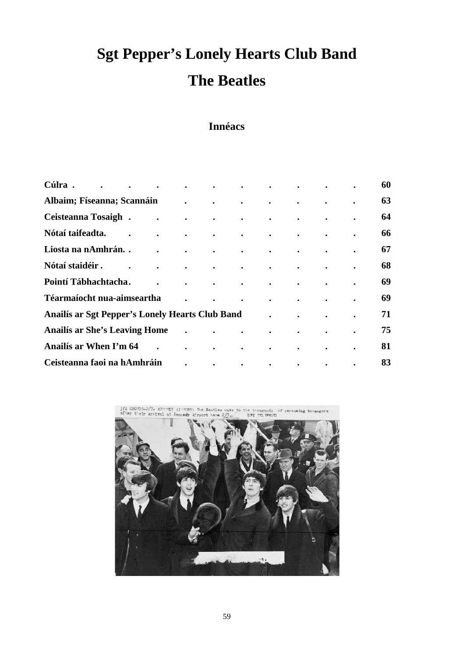# **Sgt Pepper's Lonely Hearts Club Band The Beatles**

# **Innéacs**

| Cúlra.<br>$\bullet$                             | $\bullet$ | $\bullet$            | $\bullet$            | $\bullet$                                  | $\bullet$ and $\bullet$ and $\bullet$                           | $\bullet$ . The set of $\bullet$                                                                                                                                                                                                   | $\bullet$                             |           | $\bullet$ | 60 |
|-------------------------------------------------|-----------|----------------------|----------------------|--------------------------------------------|-----------------------------------------------------------------|------------------------------------------------------------------------------------------------------------------------------------------------------------------------------------------------------------------------------------|---------------------------------------|-----------|-----------|----|
| Albaim; Físeanna; Scannáin                      |           |                      |                      |                                            | $\bullet$                                                       | $\bullet$                                                                                                                                                                                                                          | $\bullet$                             |           |           | 63 |
| Ceisteanna Tosaigh.                             |           | $\bullet$            | $\bullet$            | $\bullet$                                  | $\bullet$ .<br><br><br><br><br><br><br><br><br><br><br><br><br> | $\bullet$ .<br><br><br><br><br><br><br><br><br><br><br><br><br>                                                                                                                                                                    | $\bullet$                             | $\bullet$ | $\bullet$ | 64 |
| Nótaí taifeadta.                                |           | $\bullet$            | $\ddot{\phantom{0}}$ | $\bullet$                                  | $\bullet$ . The set of $\mathcal{O}(\mathbb{R}^d)$              | $\bullet$ . The set of $\mathcal{O}(\mathbb{R}^d)$                                                                                                                                                                                 | $\bullet$ and $\bullet$ and $\bullet$ | $\bullet$ | $\bullet$ | 66 |
| Liosta na nAmhrán                               |           | $\ddot{\phantom{0}}$ | $\sim$               |                                            |                                                                 | $\mathbf{r}$ , and the set of the set of the set of the set of the set of the set of the set of the set of the set of the set of the set of the set of the set of the set of the set of the set of the set of the set of the set   |                                       |           | $\bullet$ | 67 |
| Nótaí staidéir.                                 |           | $\ddot{\phantom{0}}$ | $\ddot{\phantom{0}}$ |                                            |                                                                 | $\bullet$ . In the case of the contract of the contract of the contract of the contract of the contract of the contract of the contract of the contract of the contract of the contract of the contract of the contract of the con | $\bullet$                             | $\bullet$ | $\bullet$ | 68 |
| Pointí Tábhachtacha.                            |           |                      | $\bullet$            | <b>Contract Contract Contract Contract</b> | $\bullet$                                                       | $\bullet$ . The set of $\mathcal{O}(\mathbb{R}^d)$                                                                                                                                                                                 | $\bullet$                             | $\bullet$ | $\bullet$ | 69 |
| Téarmaíocht nua-aimseartha                      |           |                      |                      |                                            | $\bullet$                                                       | $\bullet$                                                                                                                                                                                                                          | $\bullet$                             | $\bullet$ | $\bullet$ | 69 |
| Anailís ar Sgt Pepper's Lonely Hearts Club Band |           |                      |                      |                                            |                                                                 |                                                                                                                                                                                                                                    | $\bullet$                             | $\bullet$ | $\bullet$ | 71 |
| <b>Anailís ar She's Leaving Home</b>            |           |                      | $\ddot{\phantom{0}}$ | $\bullet$                                  | $\bullet$                                                       | $\ddot{\phantom{a}}$                                                                                                                                                                                                               | $\mathcal{L} = \mathcal{L}$           | $\sim$    | $\bullet$ | 75 |
| Anailís ar When I'm 64                          |           |                      | $\bullet$            | $\bullet$                                  | $\bullet$                                                       | $\bullet$                                                                                                                                                                                                                          | $\bullet$                             | $\bullet$ | $\bullet$ | 81 |
| Ceisteanna faoi na hAmhráin                     |           |                      |                      | $\bullet$                                  | $\bullet$                                                       | $\bullet$                                                                                                                                                                                                                          | $\bullet$                             | $\bullet$ | $\bullet$ | 83 |

jrk 020705-2/7= KENNDT AINORT The Beatles of seressing terange

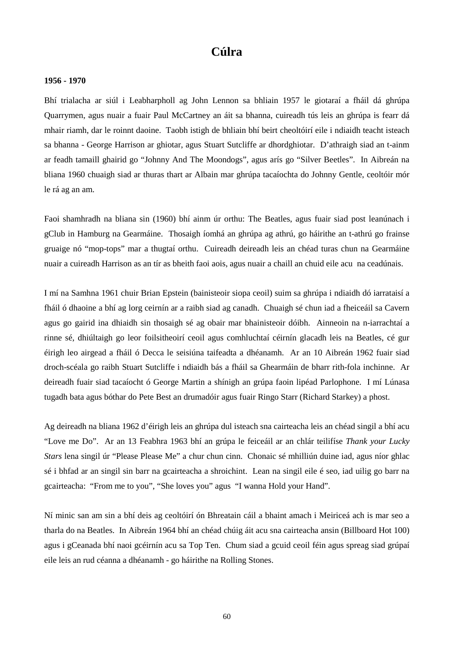## **Cúlra**

#### **1956 - 1970**

Bhí trialacha ar siúl i Leabharpholl ag John Lennon sa bhliain 1957 le giotaraí a fháil dá ghrúpa Quarrymen, agus nuair a fuair Paul McCartney an áit sa bhanna, cuireadh tús leis an ghrúpa is fearr dá mhair riamh, dar le roinnt daoine. Taobh istigh de bhliain bhí beirt cheoltóirí eile i ndiaidh teacht isteach sa bhanna - George Harrison ar ghiotar, agus Stuart Sutcliffe ar dhordghiotar. D'athraigh siad an t-ainm ar feadh tamaill ghairid go "Johnny And The Moondogs", agus arís go "Silver Beetles". In Aibreán na bliana 1960 chuaigh siad ar thuras thart ar Albain mar ghrúpa tacaíochta do Johnny Gentle, ceoltóir mór le rá ag an am.

Faoi shamhradh na bliana sin (1960) bhí ainm úr orthu: The Beatles, agus fuair siad post leanúnach i gClub in Hamburg na Gearmáine. Thosaigh íomhá an ghrúpa ag athrú, go háirithe an t-athrú go frainse gruaige nó "mop-tops" mar a thugtaí orthu. Cuireadh deireadh leis an chéad turas chun na Gearmáine nuair a cuireadh Harrison as an tír as bheith faoi aois, agus nuair a chaill an chuid eile acu na ceadúnais.

I mí na Samhna 1961 chuir Brian Epstein (bainisteoir siopa ceoil) suim sa ghrúpa i ndiaidh dó iarrataisí a fháil ó dhaoine a bhí ag lorg ceirnín ar a raibh siad ag canadh. Chuaigh sé chun iad a fheiceáil sa Cavern agus go gairid ina dhiaidh sin thosaigh sé ag obair mar bhainisteoir dóibh. Ainneoin na n-iarrachtaí a rinne sé, dhiúltaigh go leor foilsitheoirí ceoil agus comhluchtaí céirnín glacadh leis na Beatles, cé gur éirigh leo airgead a fháil ó Decca le seisiúna taifeadta a dhéanamh. Ar an 10 Aibreán 1962 fuair siad droch-scéala go raibh Stuart Sutcliffe i ndiaidh bás a fháil sa Ghearmáin de bharr rith-fola inchinne. Ar deireadh fuair siad tacaíocht ó George Martin a shínigh an grúpa faoin lipéad Parlophone. I mí Lúnasa tugadh bata agus bóthar do Pete Best an drumadóir agus fuair Ringo Starr (Richard Starkey) a phost.

Ag deireadh na bliana 1962 d'éirigh leis an ghrúpa dul isteach sna cairteacha leis an chéad singil a bhí acu "Love me Do". Ar an 13 Feabhra 1963 bhí an grúpa le feiceáil ar an chlár teilifíse *Thank your Lucky Stars* lena singil úr "Please Please Me" a chur chun cinn. Chonaic sé mhilliún duine iad, agus níor ghlac sé i bhfad ar an singil sin barr na gcairteacha a shroichint. Lean na singil eile é seo, iad uilig go barr na gcairteacha: "From me to you", "She loves you" agus "I wanna Hold your Hand".

Ní minic san am sin a bhí deis ag ceoltóirí ón Bhreatain cáil a bhaint amach i Meiriceá ach is mar seo a tharla do na Beatles. In Aibreán 1964 bhí an chéad chúig áit acu sna cairteacha ansin (Billboard Hot 100) agus i gCeanada bhí naoi gcéirnín acu sa Top Ten. Chum siad a gcuid ceoil féin agus spreag siad grúpaí eile leis an rud céanna a dhéanamh - go háirithe na Rolling Stones.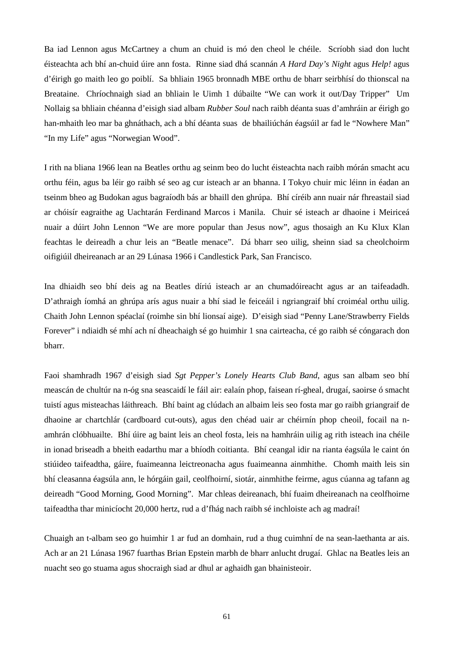Ba iad Lennon agus McCartney a chum an chuid is mó den cheol le chéile. Scríobh siad don lucht éisteachta ach bhí an-chuid úire ann fosta. Rinne siad dhá scannán *A Hard Day's Night* agus *Help!* agus d'éirigh go maith leo go poiblí. Sa bhliain 1965 bronnadh MBE orthu de bharr seirbhísí do thionscal na Breataine. Chríochnaigh siad an bhliain le Uimh 1 dúbailte "We can work it out/Day Tripper" Um Nollaig sa bhliain chéanna d'eisigh siad albam *Rubber Soul* nach raibh déanta suas d'amhráin ar éirigh go han-mhaith leo mar ba ghnáthach, ach a bhí déanta suas de bhailiúchán éagsúil ar fad le "Nowhere Man" "In my Life" agus "Norwegian Wood".

I rith na bliana 1966 lean na Beatles orthu ag seinm beo do lucht éisteachta nach raibh mórán smacht acu orthu féin, agus ba léir go raibh sé seo ag cur isteach ar an bhanna. I Tokyo chuir mic léinn in éadan an tseinm bheo ag Budokan agus bagraíodh bás ar bhaill den ghrúpa. Bhí círéib ann nuair nár fhreastail siad ar chóisír eagraithe ag Uachtarán Ferdinand Marcos i Manila. Chuir sé isteach ar dhaoine i Meiriceá nuair a dúirt John Lennon "We are more popular than Jesus now", agus thosaigh an Ku Klux Klan feachtas le deireadh a chur leis an "Beatle menace". Dá bharr seo uilig, sheinn siad sa cheolchoirm oifigiúil dheireanach ar an 29 Lúnasa 1966 i Candlestick Park, San Francisco.

Ina dhiaidh seo bhí deis ag na Beatles díriú isteach ar an chumadóireacht agus ar an taifeadadh. D'athraigh íomhá an ghrúpa arís agus nuair a bhí siad le feiceáil i ngriangraif bhí croiméal orthu uilig. Chaith John Lennon spéaclaí (roimhe sin bhí lionsaí aige). D'eisigh siad "Penny Lane/Strawberry Fields Forever" i ndiaidh sé mhí ach ní dheachaigh sé go huimhir 1 sna cairteacha, cé go raibh sé cóngarach don bharr.

Faoi shamhradh 1967 d'eisigh siad *Sgt Pepper's Lonely Hearts Club Band*, agus san albam seo bhí meascán de chultúr na n-óg sna seascaidí le fáil air: ealaín phop, faisean rí-gheal, drugaí, saoirse ó smacht tuistí agus misteachas láithreach. Bhí baint ag clúdach an albaim leis seo fosta mar go raibh griangraif de dhaoine ar chartchlár (cardboard cut-outs), agus den chéad uair ar chéirnín phop cheoil, focail na namhrán clóbhuailte. Bhí úire ag baint leis an cheol fosta, leis na hamhráin uilig ag rith isteach ina chéile in ionad briseadh a bheith eadarthu mar a bhíodh coitianta. Bhí ceangal idir na rianta éagsúla le caint ón stiúideo taifeadtha, gáire, fuaimeanna leictreonacha agus fuaimeanna ainmhithe. Chomh maith leis sin bhí cleasanna éagsúla ann, le hórgáin gail, ceolfhoirní, siotár, ainmhithe feirme, agus cúanna ag tafann ag deireadh "Good Morning, Good Morning". Mar chleas deireanach, bhí fuaim dheireanach na ceolfhoirne taifeadtha thar minicíocht 20,000 hertz, rud a d'fhág nach raibh sé inchloiste ach ag madraí!

Chuaigh an t-albam seo go huimhir 1 ar fud an domhain, rud a thug cuimhní de na sean-laethanta ar ais. Ach ar an 21 Lúnasa 1967 fuarthas Brian Epstein marbh de bharr anlucht drugaí. Ghlac na Beatles leis an nuacht seo go stuama agus shocraigh siad ar dhul ar aghaidh gan bhainisteoir.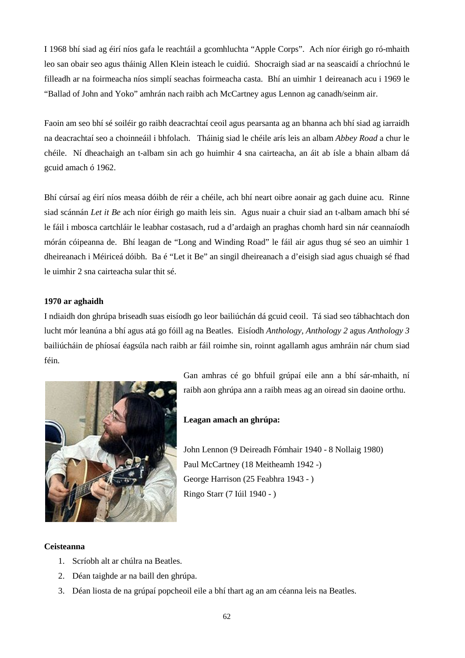I 1968 bhí siad ag éirí níos gafa le reachtáil a gcomhluchta "Apple Corps". Ach níor éirigh go ró-mhaith leo san obair seo agus tháinig Allen Klein isteach le cuidiú. Shocraigh siad ar na seascaidí a chríochnú le filleadh ar na foirmeacha níos simplí seachas foirmeacha casta. Bhí an uimhir 1 deireanach acu i 1969 le "Ballad of John and Yoko" amhrán nach raibh ach McCartney agus Lennon ag canadh/seinm air.

Faoin am seo bhí sé soiléir go raibh deacrachtaí ceoil agus pearsanta ag an bhanna ach bhí siad ag iarraidh na deacrachtaí seo a choinneáil i bhfolach. Tháinig siad le chéile arís leis an albam *Abbey Road* a chur le chéile. Ní dheachaigh an t-albam sin ach go huimhir 4 sna cairteacha, an áit ab ísle a bhain albam dá gcuid amach ó 1962.

Bhí cúrsaí ag éirí níos measa dóibh de réir a chéile, ach bhí neart oibre aonair ag gach duine acu. Rinne siad scánnán *Let it Be* ach níor éirigh go maith leis sin. Agus nuair a chuir siad an t-albam amach bhí sé le fáil i mbosca cartchláir le leabhar costasach, rud a d'ardaigh an praghas chomh hard sin nár ceannaíodh mórán cóipeanna de. Bhí leagan de "Long and Winding Road" le fáil air agus thug sé seo an uimhir 1 dheireanach i Méiriceá dóibh. Ba é "Let it Be" an singil dheireanach a d'eisigh siad agus chuaigh sé fhad le uimhir 2 sna cairteacha sular thit sé.

#### **1970 ar aghaidh**

I ndiaidh don ghrúpa briseadh suas eisíodh go leor bailiúchán dá gcuid ceoil. Tá siad seo tábhachtach don lucht mór leanúna a bhí agus atá go fóill ag na Beatles. Eisíodh *Anthology, Anthology 2* agus *Anthology 3* bailiúcháin de phíosaí éagsúla nach raibh ar fáil roimhe sin, roinnt agallamh agus amhráin nár chum siad féin.



Gan amhras cé go bhfuil grúpaí eile ann a bhí sár-mhaith, ní raibh aon ghrúpa ann a raibh meas ag an oiread sin daoine orthu.

**Leagan amach an ghrúpa:**

John Lennon (9 Deireadh Fómhair 1940 - 8 Nollaig 1980) Paul McCartney (18 Meitheamh 1942 -) George Harrison (25 Feabhra 1943 - ) Ringo Starr (7 Iúil 1940 - )

### **Ceisteanna**

- 1. Scríobh alt ar chúlra na Beatles.
- 2. Déan taighde ar na baill den ghrúpa.
- 3. Déan liosta de na grúpaí popcheoil eile a bhí thart ag an am céanna leis na Beatles.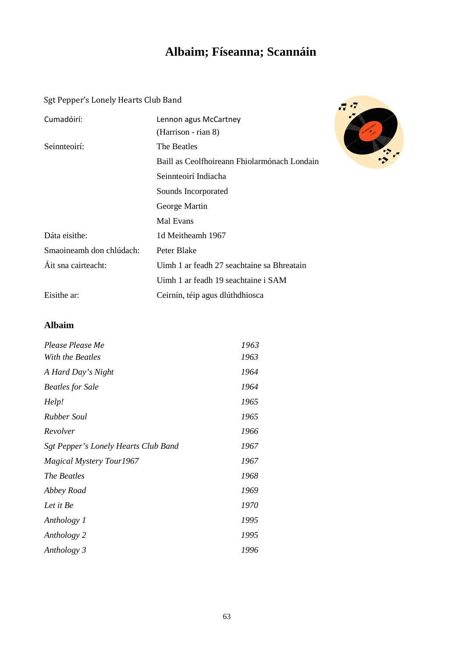# **Albaim; Físeanna; Scannáin**

Sgt Pepper's Lonely Hearts Club Band

| Cumadóirí:               | Lennon agus McCartney<br>(Harrison - rian 8) |
|--------------------------|----------------------------------------------|
| Seinnteoirí:             | The Beatles                                  |
|                          | Baill as Ceolfhoireann Fhiolarmónach Londain |
|                          | Seinnteoirí Indiacha                         |
|                          | Sounds Incorporated                          |
|                          | George Martin                                |
|                          | Mal Evans                                    |
| Dáta eisithe:            | 1d Meitheamh 1967                            |
| Smaoineamh don chlúdach: | Peter Blake                                  |
| Áit sna cairteacht:      | Uimh 1 ar feadh 27 seachtaine sa Bhreatain   |
|                          | Uimh 1 ar feadh 19 seachtaine i SAM          |
| Eisithe ar:              | Ceirnín, téip agus dlúthdhiosca              |



### **Albaim**

| Please Please Me                     | 1963 |
|--------------------------------------|------|
| With the Beatles                     | 1963 |
| A Hard Day's Night                   | 1964 |
| <b>Beatles for Sale</b>              | 1964 |
| Help!                                | 1965 |
| <b>Rubber Soul</b>                   | 1965 |
| Revolver                             | 1966 |
| Sgt Pepper's Lonely Hearts Club Band | 1967 |
| <b>Magical Mystery Tour1967</b>      | 1967 |
| <i>The Beatles</i>                   | 1968 |
| Abbey Road                           | 1969 |
| Let it Be                            | 1970 |
| Anthology 1                          | 1995 |
| Anthology 2                          | 1995 |
| Anthology 3                          | 1996 |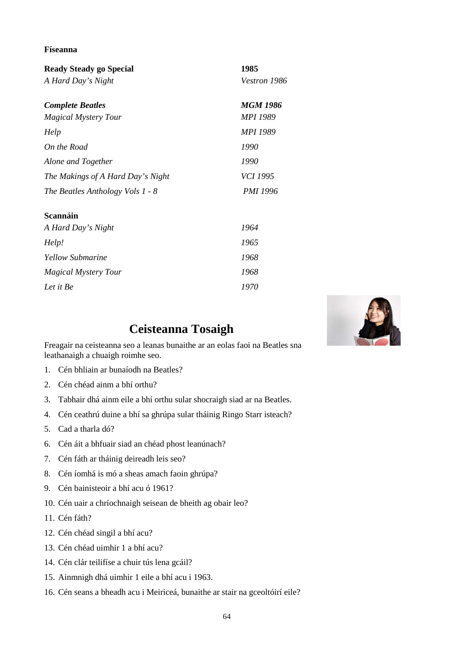#### **Físeanna**

| Ready Steady go Special           | 1985            |
|-----------------------------------|-----------------|
| A Hard Day's Night                | Vestron 1986    |
| <b>Complete Beatles</b>           | <b>MGM 1986</b> |
| <b>Magical Mystery Tour</b>       | MPI 1989        |
| Help                              | <b>MPI 1989</b> |
| On the Road                       | 1990            |
| Alone and Together                | 1990            |
| The Makings of A Hard Day's Night | <i>VCI 1995</i> |
| The Beatles Anthology Vols 1 - 8  | <b>PMI 1996</b> |
| <b>Scannáin</b>                   |                 |
| A Hard Day's Night                | 1964            |
| Help!                             | 1965            |
| <b>Yellow Submarine</b>           | 1968            |
| <b>Magical Mystery Tour</b>       | 1968            |



# **Ceisteanna Tosaigh**

Freagair na ceisteanna seo a leanas bunaithe ar an eolas faoi na Beatles sna leathanaigh a chuaigh roimhe seo.

*Let it Be 1970*

- 1. Cén bhliain ar bunaíodh na Beatles?
- 2. Cén chéad ainm a bhí orthu?
- 3. Tabhair dhá ainm eile a bhí orthu sular shocraigh siad ar na Beatles.
- 4. Cén ceathrú duine a bhí sa ghrúpa sular tháinig Ringo Starr isteach?
- 5. Cad a tharla dó?
- 6. Cén áit a bhfuair siad an chéad phost leanúnach?
- 7. Cén fáth ar tháinig deireadh leis seo?
- 8. Cén íomhá is mó a sheas amach faoin ghrúpa?
- 9. Cén bainisteoir a bhí acu ó 1961?
- 10. Cén uair a chríochnaigh seisean de bheith ag obair leo?
- 11. Cén fáth?
- 12. Cén chéad singil a bhí acu?
- 13. Cén chéad uimhir 1 a bhí acu?
- 14. Cén clár teilifíse a chuir tús lena gcáil?
- 15. Ainmnigh dhá uimhir 1 eile a bhí acu i 1963.
- 16. Cén seans a bheadh acu i Meiriceá, bunaithe ar stair na gceoltóirí eile?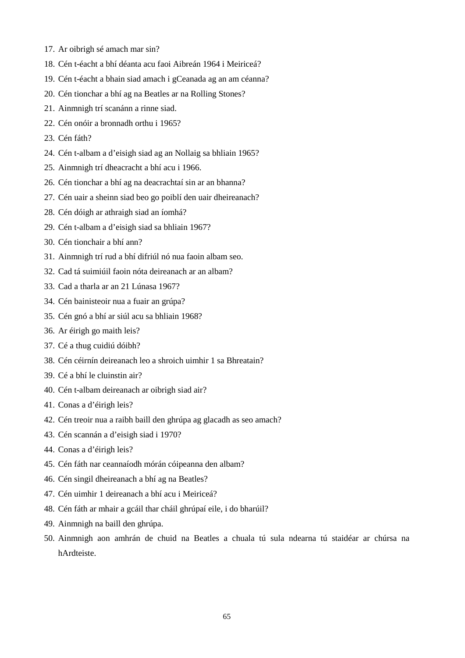- 17. Ar oibrigh sé amach mar sin?
- 18. Cén t-éacht a bhí déanta acu faoi Aibreán 1964 i Meiriceá?
- 19. Cén t-éacht a bhain siad amach i gCeanada ag an am céanna?
- 20. Cén tionchar a bhí ag na Beatles ar na Rolling Stones?
- 21. Ainmnigh trí scanánn a rinne siad.
- 22. Cén onóir a bronnadh orthu i 1965?
- 23. Cén fáth?
- 24. Cén t-albam a d'eisigh siad ag an Nollaig sa bhliain 1965?
- 25. Ainmnigh trí dheacracht a bhí acu i 1966.
- 26. Cén tionchar a bhí ag na deacrachtaí sin ar an bhanna?
- 27. Cén uair a sheinn siad beo go poiblí den uair dheireanach?
- 28. Cén dóigh ar athraigh siad an íomhá?
- 29. Cén t-albam a d'eisigh siad sa bhliain 1967?
- 30. Cén tionchair a bhí ann?
- 31. Ainmnigh trí rud a bhí difriúl nó nua faoin albam seo.
- 32. Cad tá suimiúil faoin nóta deireanach ar an albam?
- 33. Cad a tharla ar an 21 Lúnasa 1967?
- 34. Cén bainisteoir nua a fuair an grúpa?
- 35. Cén gnó a bhí ar siúl acu sa bhliain 1968?
- 36. Ar éirigh go maith leis?
- 37. Cé a thug cuidiú dóibh?
- 38. Cén céirnín deireanach leo a shroich uimhir 1 sa Bhreatain?
- 39. Cé a bhí le cluinstin air?
- 40. Cén t-albam deireanach ar oibrigh siad air?
- 41. Conas a d'éirigh leis?
- 42. Cén treoir nua a raibh baill den ghrúpa ag glacadh as seo amach?
- 43. Cén scannán a d'eisigh siad i 1970?
- 44. Conas a d'éirigh leis?
- 45. Cén fáth nar ceannaíodh mórán cóipeanna den albam?
- 46. Cén singil dheireanach a bhí ag na Beatles?
- 47. Cén uimhir 1 deireanach a bhí acu i Meiriceá?
- 48. Cén fáth ar mhair a gcáil thar cháil ghrúpaí eile, i do bharúil?
- 49. Ainmnigh na baill den ghrúpa.
- 50. Ainmnigh aon amhrán de chuid na Beatles a chuala tú sula ndearna tú staidéar ar chúrsa na hArdteiste.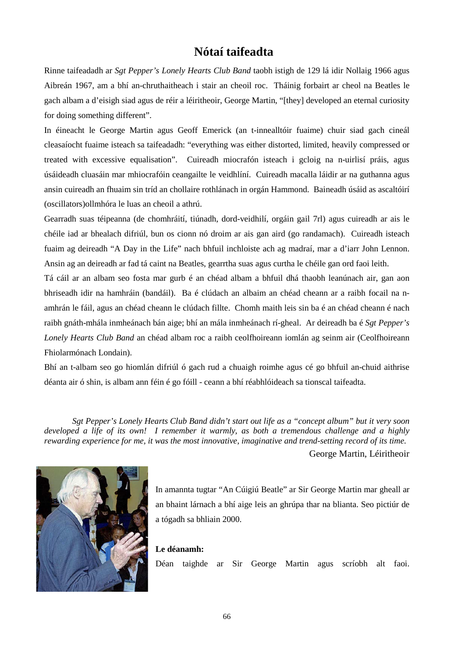# **Nótaí taifeadta**

Rinne taifeadadh ar *Sgt Pepper's Lonely Hearts Club Band* taobh istigh de 129 lá idir Nollaig 1966 agus Aibreán 1967, am a bhí an-chruthaitheach i stair an cheoil roc. Tháinig forbairt ar cheol na Beatles le gach albam a d'eisigh siad agus de réir a léiritheoir, George Martin, "[they] developed an eternal curiosity for doing something different".

In éineacht le George Martin agus Geoff Emerick (an t-innealltóir fuaime) chuir siad gach cineál cleasaíocht fuaime isteach sa taifeadadh: "everything was either distorted, limited, heavily compressed or treated with excessive equalisation". Cuireadh miocrafón isteach i gcloig na n-uirlisí práis, agus úsáideadh cluasáin mar mhiocrafóin ceangailte le veidhlíní. Cuireadh macalla láidir ar na guthanna agus ansin cuireadh an fhuaim sin tríd an chollaire rothlánach in orgán Hammond. Baineadh úsáid as ascaltóirí (oscillators)ollmhóra le luas an cheoil a athrú.

Gearradh suas téipeanna (de chomhráití, tiúnadh, dord-veidhilí, orgáin gail 7rl) agus cuireadh ar ais le chéile iad ar bhealach difriúl, bun os cionn nó droim ar ais gan aird (go randamach). Cuireadh isteach fuaim ag deireadh "A Day in the Life" nach bhfuil inchloiste ach ag madraí, mar a d'iarr John Lennon. Ansin ag an deireadh ar fad tá caint na Beatles, gearrtha suas agus curtha le chéile gan ord faoi leith.

Tá cáil ar an albam seo fosta mar gurb é an chéad albam a bhfuil dhá thaobh leanúnach air, gan aon bhriseadh idir na hamhráin (bandáil). Ba é clúdach an albaim an chéad cheann ar a raibh focail na namhrán le fáil, agus an chéad cheann le clúdach fillte. Chomh maith leis sin ba é an chéad cheann é nach raibh gnáth-mhála inmheánach bán aige; bhí an mála inmheánach rí-gheal. Ar deireadh ba é *Sgt Pepper's Lonely Hearts Club Band* an chéad albam roc a raibh ceolfhoireann iomlán ag seinm air (Ceolfhoireann Fhiolarmónach Londain).

Bhí an t-albam seo go hiomlán difriúl ó gach rud a chuaigh roimhe agus cé go bhfuil an-chuid aithrise déanta air ó shin, is albam ann féin é go fóill - ceann a bhí réabhlóideach sa tionscal taifeadta.

*Sgt Pepper's Lonely Hearts Club Band didn't start out life as a "concept album" but it very soon developed a life of its own! I remember it warmly, as both a tremendous challenge and a highly rewarding experience for me, it was the most innovative, imaginative and trend-setting record of its time.*

George Martin, Léiritheoir



In amannta tugtar "An Cúigiú Beatle" ar Sir George Martin mar gheall ar an bhaint lárnach a bhí aige leis an ghrúpa thar na blianta. Seo pictiúr de a tógadh sa bhliain 2000.

#### **Le déanamh:**

Déan taighde ar Sir George Martin agus scríobh alt faoi.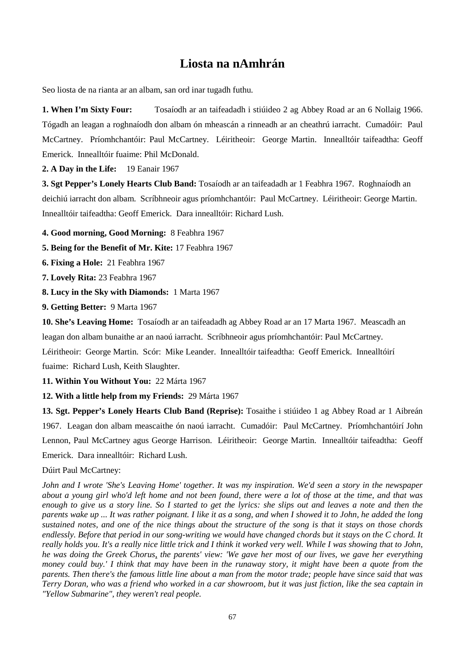# **Liosta na nAmhrán**

Seo liosta de na rianta ar an albam, san ord inar tugadh futhu.

**1. When I'm Sixty Four:** Tosaíodh ar an taifeadadh i stiúideo 2 ag Abbey Road ar an 6 Nollaig 1966. Tógadh an leagan a roghnaíodh don albam ón mheascán a rinneadh ar an cheathrú iarracht. Cumadóir: Paul McCartney. Príomhchantóir: Paul McCartney. Léiritheoir: George Martin. Innealltóir taifeadtha: Geoff Emerick. Innealltóir fuaime: Phil McDonald.

**2. A Day in the Life:** 19 Eanair 1967

**3. Sgt Pepper's Lonely Hearts Club Band:** Tosaíodh ar an taifeadadh ar 1 Feabhra 1967. Roghnaíodh an deichiú iarracht don albam. Scríbhneoir agus príomhchantóir: Paul McCartney. Léiritheoir: George Martin. Innealltóir taifeadtha: Geoff Emerick. Dara innealltóir: Richard Lush.

**4. Good morning, Good Morning:** 8 Feabhra 1967

**5. Being for the Benefit of Mr. Kite:** 17 Feabhra 1967

**6. Fixing a Hole:** 21 Feabhra 1967

**7. Lovely Rita:** 23 Feabhra 1967

**8. Lucy in the Sky with Diamonds:** 1 Marta 1967

**9. Getting Better:** 9 Marta 1967

**10. She's Leaving Home:** Tosaíodh ar an taifeadadh ag Abbey Road ar an 17 Marta 1967. Meascadh an leagan don albam bunaithe ar an naoú iarracht. Scríbhneoir agus príomhchantóir: Paul McCartney. Léiritheoir: George Martin. Scór: Mike Leander. Innealltóir taifeadtha: Geoff Emerick. Innealltóirí

fuaime: Richard Lush, Keith Slaughter.

**11. Within You Without You:** 22 Márta 1967

**12. With a little help from my Friends:** 29 Márta 1967

**13. Sgt. Pepper's Lonely Hearts Club Band (Reprise):** Tosaithe i stiúideo 1 ag Abbey Road ar 1 Aibreán 1967. Leagan don albam meascaithe ón naoú iarracht. Cumadóir: Paul McCartney. Príomhchantóirí John Lennon, Paul McCartney agus George Harrison. Léiritheoir: George Martin. Innealltóir taifeadtha: Geoff Emerick. Dara innealltóir: Richard Lush.

#### Dúirt Paul McCartney:

*John and I wrote 'She's Leaving Home' together. It was my inspiration. We'd seen a story in the newspaper about a young girl who'd left home and not been found, there were a lot of those at the time, and that was enough to give us a story line. So I started to get the lyrics: she slips out and leaves a note and then the parents wake up ... It was rather poignant. I like it as a song, and when I showed it to John, he added the long sustained notes, and one of the nice things about the structure of the song is that it stays on those chords*  endlessly. Before that period in our song-writing we would have changed chords but it stays on the C chord. It *really holds you. It's a really nice little trick and I think it worked very well. While I was showing that to John, he was doing the Greek Chorus, the parents' view: 'We gave her most of our lives, we gave her everything money could buy.' I think that may have been in the runaway story, it might have been a quote from the parents. Then there's the famous little line about a man from the motor trade; people have since said that was Terry Doran, who was a friend who worked in a car showroom, but it was just fiction, like the sea captain in ["Yellow Submarine"](http://en.wikipedia.org/wiki/Yellow_Submarine_(song)), they weren't real people.*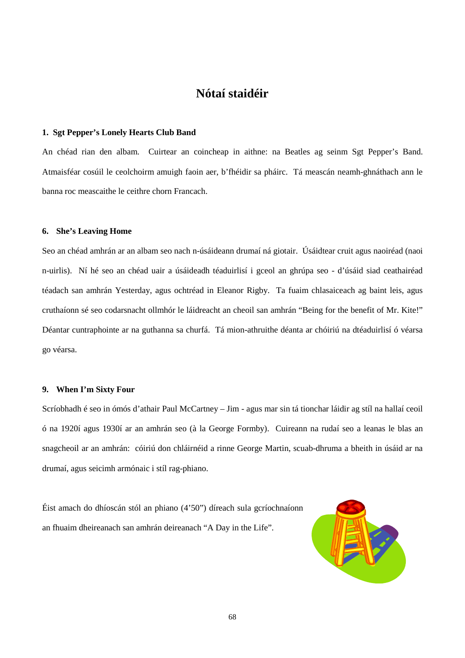# **Nótaí staidéir**

#### **1. Sgt Pepper's Lonely Hearts Club Band**

An chéad rian den albam. Cuirtear an coincheap in aithne: na Beatles ag seinm Sgt Pepper's Band. Atmaisféar cosúil le ceolchoirm amuigh faoin aer, b'fhéidir sa pháirc. Tá meascán neamh-ghnáthach ann le banna roc meascaithe le ceithre chorn Francach.

#### **6. She's Leaving Home**

Seo an chéad amhrán ar an albam seo nach n-úsáideann drumaí ná giotair. Úsáidtear cruit agus naoiréad (naoi n-uirlis). Ní hé seo an chéad uair a úsáideadh téaduirlisí i gceol an ghrúpa seo - d'úsáid siad ceathairéad téadach san amhrán Yesterday, agus ochtréad in Eleanor Rigby. Ta fuaim chlasaiceach ag baint leis, agus cruthaíonn sé seo codarsnacht ollmhór le láidreacht an cheoil san amhrán "Being for the benefit of Mr. Kite!" Déantar cuntraphointe ar na guthanna sa churfá. Tá mion-athruithe déanta ar chóiriú na dtéaduirlisí ó véarsa go véarsa.

#### **9. When I'm Sixty Four**

Scríobhadh é seo in ómós d'athair Paul McCartney – Jim - agus mar sin tá tionchar láidir ag stíl na hallaí ceoil ó na 1920í agus 1930í ar an amhrán seo (à la George Formby). Cuireann na rudaí seo a leanas le blas an snagcheoil ar an amhrán: cóiriú don chláirnéid a rinne George Martin, scuab-dhruma a bheith in úsáid ar na drumaí, agus seicimh armónaic i stíl rag-phiano.

Éist amach do dhíoscán stól an phiano (4'50") díreach sula gcríochnaíonn an fhuaim dheireanach san amhrán deireanach "A Day in the Life".

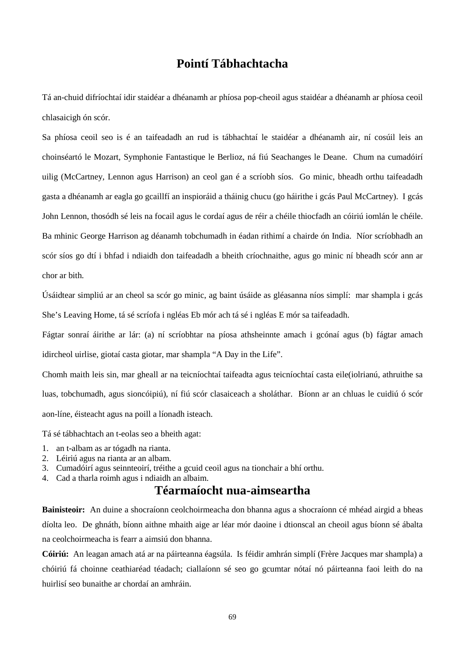# **Pointí Tábhachtacha**

Tá an-chuid difríochtaí idir staidéar a dhéanamh ar phíosa pop-cheoil agus staidéar a dhéanamh ar phíosa ceoil chlasaicigh ón scór.

Sa phíosa ceoil seo is é an taifeadadh an rud is tábhachtaí le staidéar a dhéanamh air, ní cosúil leis an choinséartó le Mozart, Symphonie Fantastique le Berlioz, ná fiú Seachanges le Deane. Chum na cumadóirí uilig (McCartney, Lennon agus Harrison) an ceol gan é a scríobh síos. Go minic, bheadh orthu taifeadadh gasta a dhéanamh ar eagla go gcaillfí an inspioráid a tháinig chucu (go háirithe i gcás Paul McCartney). I gcás John Lennon, thosódh sé leis na focail agus le cordaí agus de réir a chéile thiocfadh an cóiriú iomlán le chéile. Ba mhinic George Harrison ag déanamh tobchumadh in éadan rithimí a chairde ón India. Níor scríobhadh an scór síos go dtí i bhfad i ndiaidh don taifeadadh a bheith críochnaithe, agus go minic ní bheadh scór ann ar chor ar bith.

Úsáidtear simpliú ar an cheol sa scór go minic, ag baint úsáide as gléasanna níos simplí: mar shampla i gcás She's Leaving Home, tá sé scríofa i ngléas Eb mór ach tá sé i ngléas E mór sa taifeadadh.

Fágtar sonraí áirithe ar lár: (a) ní scríobhtar na píosa athsheinnte amach i gcónaí agus (b) fágtar amach idircheol uirlise, giotaí casta giotar, mar shampla "A Day in the Life".

Chomh maith leis sin, mar gheall ar na teicníochtaí taifeadta agus teicníochtaí casta eile(iolrianú, athruithe sa luas, tobchumadh, agus sioncóipiú), ní fiú scór clasaiceach a sholáthar. Bíonn ar an chluas le cuidiú ó scór aon-líne, éisteacht agus na poill a líonadh isteach.

Tá sé tábhachtach an t-eolas seo a bheith agat:

- 1. an t-albam as ar tógadh na rianta.
- 2. Léiriú agus na rianta ar an albam.
- 3. Cumadóirí agus seinnteoirí, tréithe a gcuid ceoil agus na tionchair a bhí orthu.
- 4. Cad a tharla roimh agus i ndiaidh an albaim.

### **Téarmaíocht nua-aimseartha**

**Bainisteoir:** An duine a shocraíonn ceolchoirmeacha don bhanna agus a shocraíonn cé mhéad airgid a bheas díolta leo. De ghnáth, bíonn aithne mhaith aige ar léar mór daoine i dtionscal an cheoil agus bíonn sé ábalta na ceolchoirmeacha is fearr a aimsiú don bhanna.

**Cóiriú:** An leagan amach atá ar na páirteanna éagsúla. Is féidir amhrán simplí (Frère Jacques mar shampla) a chóiriú fá choinne ceathiaréad téadach; ciallaíonn sé seo go gcumtar nótaí nó páirteanna faoi leith do na huirlisí seo bunaithe ar chordaí an amhráin.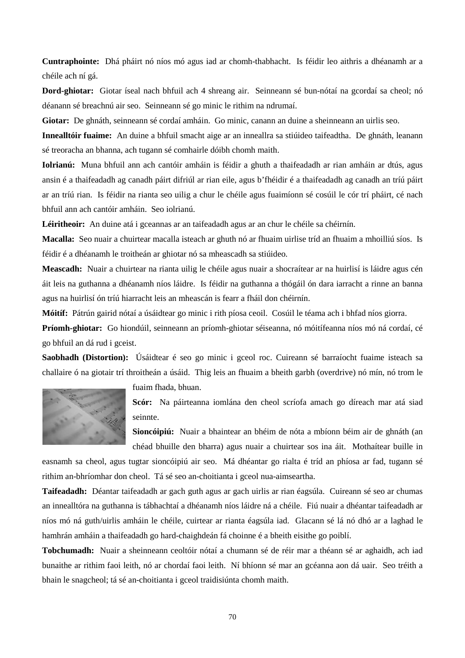**Cuntraphointe:** Dhá pháirt nó níos mó agus iad ar chomh-thabhacht. Is féidir leo aithris a dhéanamh ar a chéile ach ní gá.

**Dord-ghiotar:** Giotar íseal nach bhfuil ach 4 shreang air. Seinneann sé bun-nótaí na gcordaí sa cheol; nó déanann sé breachnú air seo. Seinneann sé go minic le rithim na ndrumaí.

**Giotar:** De ghnáth, seinneann sé cordaí amháin. Go minic, canann an duine a sheinneann an uirlis seo.

**Innealltóir fuaime:** An duine a bhfuil smacht aige ar an inneallra sa stiúideo taifeadtha. De ghnáth, leanann sé treoracha an bhanna, ach tugann sé comhairle dóibh chomh maith.

**Iolrianú:** Muna bhfuil ann ach cantóir amháin is féidir a ghuth a thaifeadadh ar rian amháin ar dtús, agus ansin é a thaifeadadh ag canadh páirt difriúl ar rian eile, agus b'fhéidir é a thaifeadadh ag canadh an tríú páirt ar an tríú rian. Is féidir na rianta seo uilig a chur le chéile agus fuaimíonn sé cosúil le cór trí pháirt, cé nach bhfuil ann ach cantóir amháin. Seo iolrianú.

Léiritheoir: An duine atá i gceannas ar an taifeadadh agus ar an chur le chéile sa chéirnín.

**Macalla:** Seo nuair a chuirtear macalla isteach ar ghuth nó ar fhuaim uirlise tríd an fhuaim a mhoilliú síos. Is féidir é a dhéanamh le troitheán ar ghiotar nó sa mheascadh sa stiúideo.

**Meascadh:** Nuair a chuirtear na rianta uilig le chéile agus nuair a shocraítear ar na huirlisí is láidre agus cén áit leis na guthanna a dhéanamh níos láidre. Is féidir na guthanna a thógáil ón dara iarracht a rinne an banna agus na huirlisí ón tríú hiarracht leis an mheascán is fearr a fháil don chéirnín.

**Móitíf:** Pátrún gairid nótaí a úsáidtear go minic i rith píosa ceoil. Cosúil le téama ach i bhfad níos giorra.

**Príomh-ghiotar:** Go hiondúil, seinneann an príomh-ghiotar séiseanna, nó móitífeanna níos mó ná cordaí, cé go bhfuil an dá rud i gceist.

**Saobhadh (Distortion):** Úsáidtear é seo go minic i gceol roc. Cuireann sé barraíocht fuaime isteach sa challaire ó na giotair trí throitheán a úsáid. Thig leis an fhuaim a bheith garbh (overdrive) nó mín, nó trom le



fuaim fhada, bhuan.

**Scór:** Na páirteanna iomlána den cheol scríofa amach go díreach mar atá siad seinnte.

**Sioncóipiú:** Nuair a bhaintear an bhéim de nóta a mbíonn béim air de ghnáth (an chéad bhuille den bharra) agus nuair a chuirtear sos ina áit. Mothaítear buille in

easnamh sa cheol, agus tugtar sioncóipiú air seo. Má dhéantar go rialta é tríd an phíosa ar fad, tugann sé rithim an-bhríomhar don cheol. Tá sé seo an-choitianta i gceol nua-aimseartha.

**Taifeadadh:** Déantar taifeadadh ar gach guth agus ar gach uirlis ar rian éagsúla. Cuireann sé seo ar chumas an innealltóra na guthanna is tábhachtaí a dhéanamh níos láidre ná a chéile. Fiú nuair a dhéantar taifeadadh ar níos mó ná guth/uirlis amháin le chéile, cuirtear ar rianta éagsúla iad. Glacann sé lá nó dhó ar a laghad le hamhrán amháin a thaifeadadh go hard-chaighdeán fá choinne é a bheith eisithe go poiblí.

**Tobchumadh:** Nuair a sheinneann ceoltóir nótaí a chumann sé de réir mar a théann sé ar aghaidh, ach iad bunaithe ar rithim faoi leith, nó ar chordaí faoi leith. Ní bhíonn sé mar an gcéanna aon dá uair. Seo tréith a bhain le snagcheol; tá sé an-choitianta i gceol traidisiúnta chomh maith.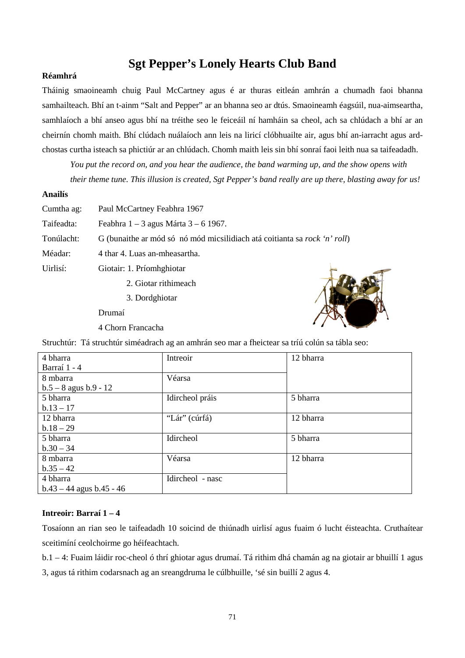# **Sgt Pepper's Lonely Hearts Club Band**

#### **Réamhrá**

Tháinig smaoineamh chuig Paul McCartney agus é ar thuras eitleán amhrán a chumadh faoi bhanna samhailteach. Bhí an t-ainm "Salt and Pepper" ar an bhanna seo ar dtús. Smaoineamh éagsúil, nua-aimseartha, samhlaíoch a bhí anseo agus bhí na tréithe seo le feiceáil ní hamháin sa cheol, ach sa chlúdach a bhí ar an cheirnín chomh maith. Bhí clúdach nuálaíoch ann leis na liricí clóbhuailte air, agus bhí an-iarracht agus ardchostas curtha isteach sa phictiúr ar an chlúdach. Chomh maith leis sin bhí sonraí faoi leith nua sa taifeadadh.

*You put the record on, and you hear the audience, the band warming up, and the show opens with their theme tune. This illusion is created, Sgt Pepper's band really are up there, blasting away for us!*

#### **Anailís**

| Cumtha ag: | Paul McCartney Feabhra 1967                                                       |  |
|------------|-----------------------------------------------------------------------------------|--|
| Taifeadta: | Feabhra $1 - 3$ agus Márta $3 - 6$ 1967.                                          |  |
| Tonúlacht: | G (bunaithe ar mód só nó mód micsilidiach atá coitianta sa <i>rock 'n' roll</i> ) |  |
| Méadar:    | 4 thar 4. Luas an-mheasartha.                                                     |  |
| Uirlisí:   | Giotair: 1. Príomhghiotar                                                         |  |
|            | 2. Giotar rithimeach                                                              |  |
|            | 3. Dordghiotar                                                                    |  |

Drumaí

4 Chorn Francacha



| 4 bharra                     | Intreoir         | 12 bharra |
|------------------------------|------------------|-----------|
| Barraí 1 - 4                 |                  |           |
| 8 mbarra                     | Véarsa           |           |
| $b.5 - 8$ agus $b.9 - 12$    |                  |           |
| 5 bharra                     | Idircheol práis  | 5 bharra  |
| $b.13 - 17$                  |                  |           |
| 12 bharra                    | "Lár" (cúrfá)    | 12 bharra |
| $b.18 - 29$                  |                  |           |
| 5 bharra                     | Idircheol        | 5 bharra  |
| $b.30 - 34$                  |                  |           |
| 8 mbarra                     | Véarsa           | 12 bharra |
| $b.35 - 42$                  |                  |           |
| 4 bharra                     | Idircheol - nasc |           |
| $b.43 - 44$ agus $b.45 - 46$ |                  |           |

#### **Intreoir: Barraí 1 – 4**

Tosaíonn an rian seo le taifeadadh 10 soicind de thiúnadh uirlisí agus fuaim ó lucht éisteachta. Cruthaítear sceitimíní ceolchoirme go héifeachtach.

b.1 – 4: Fuaim láidir roc-cheol ó thrí ghiotar agus drumaí. Tá rithim dhá chamán ag na giotair ar bhuillí 1 agus 3, agus tá rithim codarsnach ag an sreangdruma le cúlbhuille, 'sé sin buillí 2 agus 4.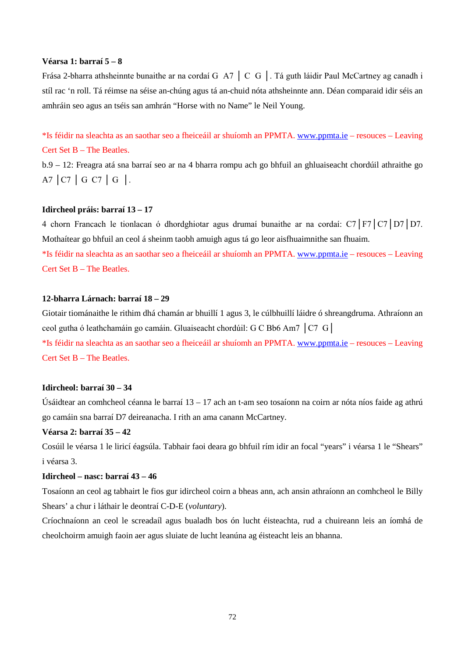#### **Véarsa 1: barraí 5 – 8**

Frása 2-bharra athsheinnte bunaithe ar na cordaí G A7 │ C G │. Tá guth láidir Paul McCartney ag canadh i stíl rac 'n roll. Tá réimse na séise an-chúng agus tá an-chuid nóta athsheinnte ann. Déan comparaid idir séis an amhráin seo agus an tséis san amhrán "Horse with no Name" le Neil Young.

\*Is féidir na sleachta as an saothar seo a fheiceáil ar shuíomh an PPMTA[. www.ppmta.ie](http://www.ppmta.ie/) – resouces – Leaving Cert Set B – The Beatles.

b.9 – 12: Freagra atá sna barraí seo ar na 4 bharra rompu ach go bhfuil an ghluaiseacht chordúil athraithe go A7 │C7 │ G C7 │ G │.

#### **Idircheol práis: barraí 13 – 17**

4 chorn Francach le tionlacan ó dhordghiotar agus drumaí bunaithe ar na cordaí: C7│F7│C7│D7│D7. Mothaítear go bhfuil an ceol á sheinm taobh amuigh agus tá go leor aisfhuaimnithe san fhuaim. \*Is féidir na sleachta as an saothar seo a fheiceáil ar shuíomh an PPMTA[. www.ppmta.ie](http://www.ppmta.ie/) – resouces – Leaving Cert Set B – The Beatles.

#### **12-bharra Lárnach: barraí 18 – 29**

Giotair tiománaithe le rithim dhá chamán ar bhuillí 1 agus 3, le cúlbhuillí láidre ó shreangdruma. Athraíonn an ceol gutha ó leathchamáin go camáin. Gluaiseacht chordúil: G C Bb6 Am7 │C7 G│

\*Is féidir na sleachta as an saothar seo a fheiceáil ar shuíomh an PPMTA. [www.ppmta.ie](http://www.ppmta.ie/) – resouces – Leaving Cert Set B – The Beatles.

#### **Idircheol: barraí 30 – 34**

Úsáidtear an comhcheol céanna le barraí 13 – 17 ach an t-am seo tosaíonn na coirn ar nóta níos faide ag athrú go camáin sna barraí D7 deireanacha. I rith an ama canann McCartney.

#### **Véarsa 2: barraí 35 – 42**

Cosúil le véarsa 1 le liricí éagsúla. Tabhair faoi deara go bhfuil rím idir an focal "years" i véarsa 1 le "Shears" i véarsa 3.

#### **Idircheol – nasc: barraí 43 – 46**

Tosaíonn an ceol ag tabhairt le fios gur idircheol coirn a bheas ann, ach ansin athraíonn an comhcheol le Billy Shears' a chur i láthair le deontraí C-D-E (*voluntary*).

Críochnaíonn an ceol le screadaíl agus bualadh bos ón lucht éisteachta, rud a chuireann leis an íomhá de cheolchoirm amuigh faoin aer agus sluiate de lucht leanúna ag éisteacht leis an bhanna.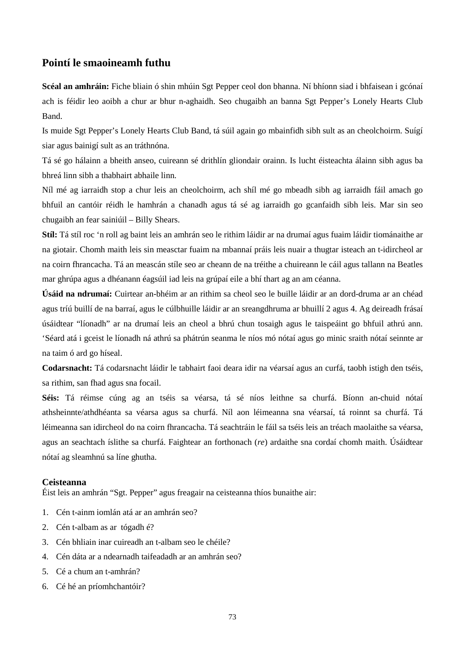### **Pointí le smaoineamh futhu**

**Scéal an amhráin:** Fiche bliain ó shin mhúin Sgt Pepper ceol don bhanna. Ní bhíonn siad i bhfaisean i gcónaí ach is féidir leo aoibh a chur ar bhur n-aghaidh. Seo chugaibh an banna Sgt Pepper's Lonely Hearts Club Band.

Is muide Sgt Pepper's Lonely Hearts Club Band, tá súil again go mbainfidh sibh sult as an cheolchoirm. Suígí siar agus bainigí sult as an tráthnóna.

Tá sé go hálainn a bheith anseo, cuireann sé drithlín gliondair orainn. Is lucht éisteachta álainn sibh agus ba bhreá linn sibh a thabhairt abhaile linn.

Níl mé ag iarraidh stop a chur leis an cheolchoirm, ach shíl mé go mbeadh sibh ag iarraidh fáil amach go bhfuil an cantóir réidh le hamhrán a chanadh agus tá sé ag iarraidh go gcanfaidh sibh leis. Mar sin seo chugaibh an fear sainiúil – Billy Shears.

**Stíl:** Tá stíl roc 'n roll ag baint leis an amhrán seo le rithim láidir ar na drumaí agus fuaim láidir tiománaithe ar na giotair. Chomh maith leis sin measctar fuaim na mbannaí práis leis nuair a thugtar isteach an t-idircheol ar na coirn fhrancacha. Tá an meascán stíle seo ar cheann de na tréithe a chuireann le cáil agus tallann na Beatles mar ghrúpa agus a dhéanann éagsúil iad leis na grúpaí eile a bhí thart ag an am céanna.

**Úsáid na ndrumaí:** Cuirtear an-bhéim ar an rithim sa cheol seo le buille láidir ar an dord-druma ar an chéad agus tríú buillí de na barraí, agus le cúlbhuille láidir ar an sreangdhruma ar bhuillí 2 agus 4. Ag deireadh frásaí úsáidtear "líonadh" ar na drumaí leis an cheol a bhrú chun tosaigh agus le taispeáint go bhfuil athrú ann. 'Séard atá i gceist le líonadh ná athrú sa phátrún seanma le níos mó nótaí agus go minic sraith nótaí seinnte ar na taim ó ard go híseal.

**Codarsnacht:** Tá codarsnacht láidir le tabhairt faoi deara idir na véarsaí agus an curfá, taobh istigh den tséis, sa rithim, san fhad agus sna focail.

**Séis:** Tá réimse cúng ag an tséis sa véarsa, tá sé níos leithne sa churfá. Bíonn an-chuid nótaí athsheinnte/athdhéanta sa véarsa agus sa churfá. Níl aon léimeanna sna véarsaí, tá roinnt sa churfá. Tá léimeanna san idircheol do na coirn fhrancacha. Tá seachtráin le fáil sa tséis leis an tréach maolaithe sa véarsa, agus an seachtach íslithe sa churfá. Faightear an forthonach (*re*) ardaithe sna cordaí chomh maith. Úsáidtear nótaí ag sleamhnú sa líne ghutha.

#### **Ceisteanna**

Éist leis an amhrán "Sgt. Pepper" agus freagair na ceisteanna thíos bunaithe air:

- 1. Cén t-ainm iomlán atá ar an amhrán seo?
- 2. Cén t-albam as ar tógadh é?
- 3. Cén bhliain inar cuireadh an t-albam seo le chéile?
- 4. Cén dáta ar a ndearnadh taifeadadh ar an amhrán seo?
- 5. Cé a chum an t-amhrán?
- 6. Cé hé an príomhchantóir?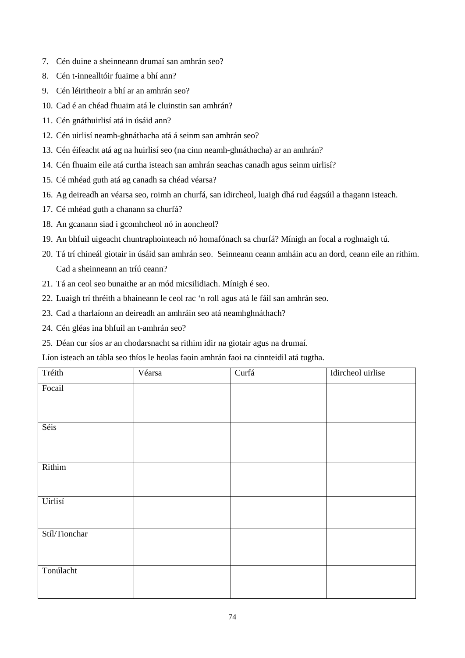- 7. Cén duine a sheinneann drumaí san amhrán seo?
- 8. Cén t-innealltóir fuaime a bhí ann?
- 9. Cén léiritheoir a bhí ar an amhrán seo?
- 10. Cad é an chéad fhuaim atá le cluinstin san amhrán?
- 11. Cén gnáthuirlisí atá in úsáid ann?
- 12. Cén uirlisí neamh-ghnáthacha atá á seinm san amhrán seo?
- 13. Cén éifeacht atá ag na huirlisí seo (na cinn neamh-ghnáthacha) ar an amhrán?
- 14. Cén fhuaim eile atá curtha isteach san amhrán seachas canadh agus seinm uirlisí?
- 15. Cé mhéad guth atá ag canadh sa chéad véarsa?
- 16. Ag deireadh an véarsa seo, roimh an churfá, san idircheol, luaigh dhá rud éagsúil a thagann isteach.
- 17. Cé mhéad guth a chanann sa churfá?
- 18. An gcanann siad i gcomhcheol nó in aoncheol?
- 19. An bhfuil uigeacht chuntraphointeach nó homafónach sa churfá? Mínigh an focal a roghnaigh tú.
- 20. Tá trí chineál giotair in úsáid san amhrán seo. Seinneann ceann amháin acu an dord, ceann eile an rithim. Cad a sheinneann an tríú ceann?
- 21. Tá an ceol seo bunaithe ar an mód micsilidiach. Mínigh é seo.
- 22. Luaigh trí thréith a bhaineann le ceol rac 'n roll agus atá le fáil san amhrán seo.
- 23. Cad a tharlaíonn an deireadh an amhráin seo atá neamhghnáthach?
- 24. Cén gléas ina bhfuil an t-amhrán seo?
- 25. Déan cur síos ar an chodarsnacht sa rithim idir na giotair agus na drumaí.

Líon isteach an tábla seo thíos le heolas faoin amhrán faoi na cinnteidil atá tugtha.

| Tréith        | Véarsa | Curfá | Idircheol uirlise |
|---------------|--------|-------|-------------------|
| Focail        |        |       |                   |
|               |        |       |                   |
|               |        |       |                   |
| Séis          |        |       |                   |
|               |        |       |                   |
|               |        |       |                   |
| Rithim        |        |       |                   |
|               |        |       |                   |
|               |        |       |                   |
| Uirlisí       |        |       |                   |
|               |        |       |                   |
| Stíl/Tionchar |        |       |                   |
|               |        |       |                   |
|               |        |       |                   |
| Tonúlacht     |        |       |                   |
|               |        |       |                   |
|               |        |       |                   |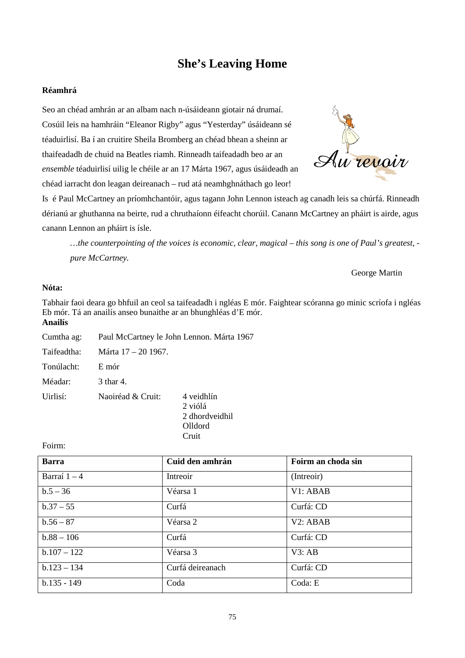# **She's Leaving Home**

#### **Réamhrá**

Seo an chéad amhrán ar an albam nach n-úsáideann giotair ná drumaí. Cosúil leis na hamhráin "Eleanor Rigby" agus "Yesterday" úsáideann sé téaduirlisí. Ba í an cruitire Sheila Bromberg an chéad bhean a sheinn ar thaifeadadh de chuid na Beatles riamh. Rinneadh taifeadadh beo ar an *ensemble* téaduirlisí uilig le chéile ar an 17 Márta 1967, agus úsáideadh an chéad iarracht don leagan deireanach – rud atá neamhghnáthach go leor!



Is é Paul McCartney an príomhchantóir, agus tagann John Lennon isteach ag canadh leis sa chúrfá. Rinneadh dérianú ar ghuthanna na beirte, rud a chruthaíonn éifeacht chorúil. Canann McCartney an pháirt is airde, agus canann Lennon an pháirt is ísle.

*…the counterpointing of the voices is economic, clear, magical – this song is one of Paul's greatest, pure McCartney.*

#### George Martin

### **Nóta:**

Tabhair faoi deara go bhfuil an ceol sa taifeadadh i ngléas E mór. Faightear scóranna go minic scríofa i ngléas Eb mór. Tá an anailís anseo bunaithe ar an bhunghléas d'E mór. **Anailís**

| Cumtha ag:  |                     | Paul McCartney le John Lennon. Márta 1967 |
|-------------|---------------------|-------------------------------------------|
| Taifeadtha: | Márta 17 – 20 1967. |                                           |
| Tonúlacht:  | E mór               |                                           |
| Méadar:     | 3 thar 4.           |                                           |
| Uirlisí:    | Naoiréad & Cruit:   | 4 veidhlín<br>2 viólá<br>2 dhordveidhil   |

Foirm:

| <b>Barra</b>   | Cuid den amhrán  | Foirm an choda sin |
|----------------|------------------|--------------------|
| Barraí $1 - 4$ | Intreoir         | (Intreoir)         |
| $b.5 - 36$     | Véarsa 1         | V1: ABAB           |
| $b.37 - 55$    | Curfá            | Curfá: CD          |
| $b.56 - 87$    | Véarsa 2         | V2: ABAB           |
| $b.88 - 106$   | Curfá            | Curfá: CD          |
| $b.107 - 122$  | Véarsa 3         | V3:AB              |
| $b.123 - 134$  | Curfá deireanach | Curfá: CD          |
| $b.135 - 149$  | Coda             | Coda: E            |

Olldord Cruit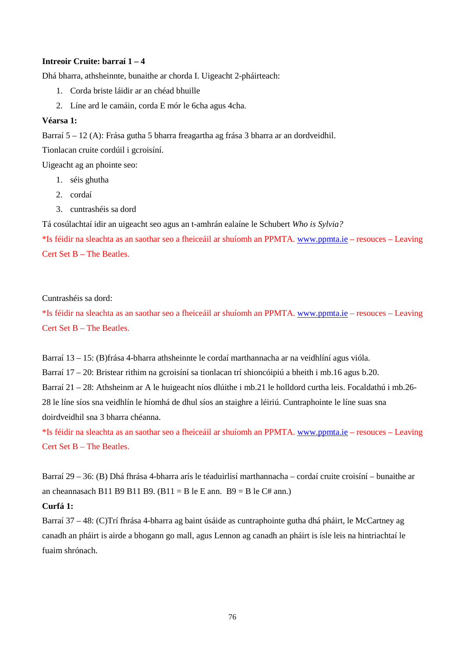#### **Intreoir Cruite: barraí 1 – 4**

Dhá bharra, athsheinnte, bunaithe ar chorda I. Uigeacht 2-pháirteach:

- 1. Corda briste láidir ar an chéad bhuille
- 2. Líne ard le camáin, corda E mór le 6cha agus 4cha.

#### **Véarsa 1:**

Barraí 5 – 12 (A): Frása gutha 5 bharra freagartha ag frása 3 bharra ar an dordveidhil.

Tionlacan cruite cordúil i gcroisíní.

Uigeacht ag an phointe seo:

- 1. séis ghutha
- 2. cordaí
- 3. cuntrashéis sa dord

Tá cosúlachtaí idir an uigeacht seo agus an t-amhrán ealaíne le Schubert *Who is Sylvia?*

\*Is féidir na sleachta as an saothar seo a fheiceáil ar shuíomh an PPMTA[. www.ppmta.ie](http://www.ppmta.ie/) – resouces – Leaving Cert Set B – The Beatles.

#### Cuntrashéis sa dord:

\*Is féidir na sleachta as an saothar seo a fheiceáil ar shuíomh an PPMTA[. www.ppmta.ie](http://www.ppmta.ie/) – resouces – Leaving Cert Set B – The Beatles.

Barraí 13 – 15: (B)frása 4-bharra athsheinnte le cordaí marthannacha ar na veidhlíní agus vióla.

Barraí 17 – 20: Bristear rithim na gcroisíní sa tionlacan trí shioncóipiú a bheith i mb.16 agus b.20.

Barraí 21 – 28: Athsheinm ar A le huigeacht níos dlúithe i mb.21 le holldord curtha leis. Focaldathú i mb.26- 28 le líne síos sna veidhlín le híomhá de dhul síos an staighre a léiriú. Cuntraphointe le líne suas sna doirdveidhil sna 3 bharra chéanna.

\*Is féidir na sleachta as an saothar seo a fheiceáil ar shuíomh an PPMTA[. www.ppmta.ie](http://www.ppmta.ie/) – resouces – Leaving Cert Set B – The Beatles.

Barraí 29 – 36: (B) Dhá fhrása 4-bharra arís le téaduirlisí marthannacha – cordaí cruite croisíní – bunaithe ar an cheannasach B11 B9 B11 B9. (B11 = B le E ann. B9 = B le C# ann.)

#### **Curfá 1:**

Barraí 37 – 48: (C)Trí fhrása 4-bharra ag baint úsáide as cuntraphointe gutha dhá pháirt, le McCartney ag canadh an pháirt is airde a bhogann go mall, agus Lennon ag canadh an pháirt is ísle leis na hintriachtaí le fuaim shrónach.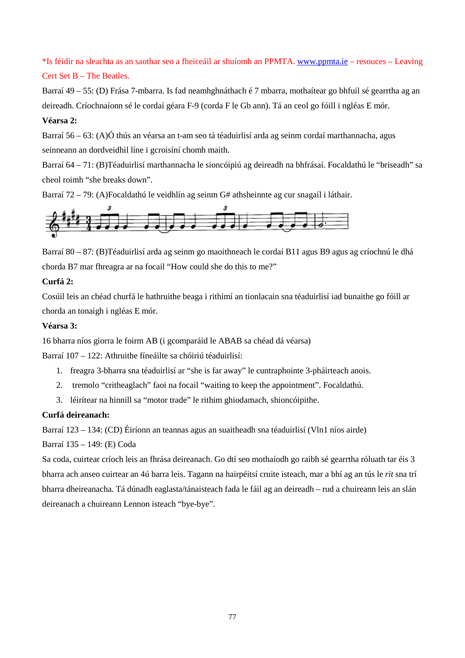\*Is féidir na sleachta as an saothar seo a fheiceáil ar shuíomh an PPMTA[. www.ppmta.ie](http://www.ppmta.ie/) – resouces – Leaving Cert Set B – The Beatles.

Barraí 49 – 55: (D) Frása 7-mbarra. Is fad neamhghnáthach é 7 mbarra, mothaítear go bhfuil sé gearrtha ag an deireadh. Críochnaíonn sé le cordaí géara F-9 (corda F le Gb ann). Tá an ceol go fóill i ngléas E mór.

### **Véarsa 2:**

Barraí 56 – 63: (A)Ó thús an véarsa an t-am seo tá téaduirlisí arda ag seinm cordaí marthannacha, agus seinneann an dordveidhil líne i gcroisíní chomh maith.

Barraí 64 – 71: (B)Téaduirlisí marthannacha le sioncóipiú ag deireadh na bhfrásaí. Focaldathú le "briseadh" sa cheol roimh "she breaks down".

Barraí 72 – 79: (A)Focaldathú le veidhlín ag seinm G# athsheinnte ag cur snagaíl i láthair.



Barraí 80 – 87: (B)Téaduirlisí arda ag seinm go maoithneach le cordaí B11 agus B9 agus ag críochnú le dhá chorda B7 mar fhreagra ar na focail "How could she do this to me?"

### **Curfá 2:**

Cosúil leis an chéad churfá le hathruithe beaga i rithimí an tionlacain sna téaduirlisí iad bunaithe go fóill ar chorda an tonaigh i ngléas E mór.

### **Véarsa 3:**

16 bharra níos giorra le foirm AB (i gcomparáid le ABAB sa chéad dá véarsa)

Barraí 107 – 122: Athruithe fíneáilte sa chóiriú téaduirlisí:

- 1. freagra 3-bharra sna téaduirlisí ar "she is far away" le cuntraphointe 3-pháirteach anois.
- 2. tremolo "critheaglach" faoi na focail "waiting to keep the appointment". Focaldathú.
- 3. léirítear na hinnill sa "motor trade" le rithim ghiodamach, shioncóipithe.

### **Curfá deireanach:**

Barraí 123 – 134: (CD) Éiríonn an teannas agus an suaitheadh sna téaduirlisí (Vln1 níos airde)

Barraí 135 – 149: (E) Coda

Sa coda, cuirtear críoch leis an fhrása deireanach. Go dtí seo mothaíodh go raibh sé gearrtha róluath tar éis 3 bharra ach anseo cuirtear an 4ú barra leis. Tagann na hairpéitsí cruite isteach, mar a bhí ag an tús le *rit* sna trí bharra dheireanacha. Tá dúnadh eaglasta/tánaisteach fada le fáil ag an deireadh – rud a chuireann leis an slán deireanach a chuireann Lennon isteach "bye-bye".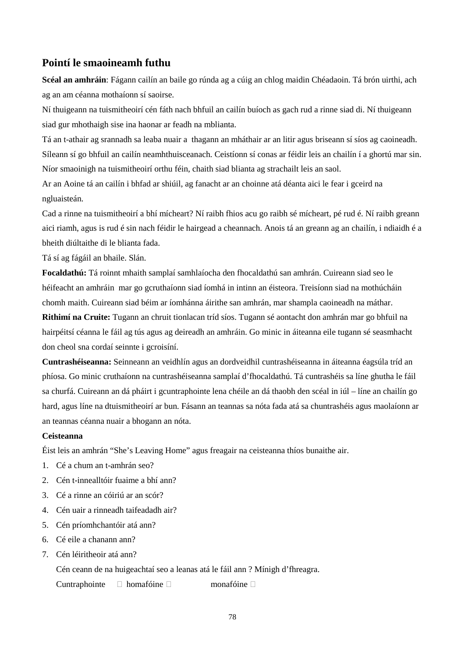### **Pointí le smaoineamh futhu**

**Scéal an amhráin**: Fágann cailín an baile go rúnda ag a cúig an chlog maidin Chéadaoin. Tá brón uirthi, ach ag an am céanna mothaíonn sí saoirse.

Ní thuigeann na tuismitheoirí cén fáth nach bhfuil an cailín buíoch as gach rud a rinne siad di. Ní thuigeann siad gur mhothaigh sise ina haonar ar feadh na mblianta.

Tá an t-athair ag srannadh sa leaba nuair a thagann an mháthair ar an litir agus briseann sí síos ag caoineadh. Síleann sí go bhfuil an cailín neamhthuisceanach. Ceistíonn sí conas ar féidir leis an chailín í a ghortú mar sin. Níor smaoinigh na tuismitheoirí orthu féin, chaith siad blianta ag strachailt leis an saol.

Ar an Aoine tá an cailín i bhfad ar shiúil, ag fanacht ar an choinne atá déanta aici le fear i gceird na ngluaisteán.

Cad a rinne na tuismitheoirí a bhí mícheart? Ní raibh fhios acu go raibh sé mícheart, pé rud é. Ní raibh greann aici riamh, agus is rud é sin nach féidir le hairgead a cheannach. Anois tá an greann ag an chailín, i ndiaidh é a bheith diúltaithe di le blianta fada.

Tá sí ag fágáil an bhaile. Slán.

**Focaldathú:** Tá roinnt mhaith samplaí samhlaíocha den fhocaldathú san amhrán. Cuireann siad seo le héifeacht an amhráin mar go gcruthaíonn siad íomhá in intinn an éisteora. Treisíonn siad na mothúcháin chomh maith. Cuireann siad béim ar íomhánna áirithe san amhrán, mar shampla caoineadh na máthar.

**Rithimí na Cruite:** Tugann an chruit tionlacan tríd síos. Tugann sé aontacht don amhrán mar go bhfuil na hairpéitsí céanna le fáil ag tús agus ag deireadh an amhráin. Go minic in áiteanna eile tugann sé seasmhacht don cheol sna cordaí seinnte i gcroisíní.

**Cuntrashéiseanna:** Seinneann an veidhlín agus an dordveidhil cuntrashéiseanna in áiteanna éagsúla tríd an phíosa. Go minic cruthaíonn na cuntrashéiseanna samplaí d'fhocaldathú. Tá cuntrashéis sa líne ghutha le fáil sa churfá. Cuireann an dá pháirt i gcuntraphointe lena chéile an dá thaobh den scéal in iúl – líne an chailín go hard, agus líne na dtuismitheoirí ar bun. Fásann an teannas sa nóta fada atá sa chuntrashéis agus maolaíonn ar an teannas céanna nuair a bhogann an nóta.

#### **Ceisteanna**

Éist leis an amhrán "She's Leaving Home" agus freagair na ceisteanna thíos bunaithe air.

- 1. Cé a chum an t-amhrán seo?
- 2. Cén t-innealltóir fuaime a bhí ann?
- 3. Cé a rinne an cóiriú ar an scór?
- 4. Cén uair a rinneadh taifeadadh air?
- 5. Cén príomhchantóir atá ann?
- 6. Cé eile a chanann ann?
- 7. Cén léiritheoir atá ann?

Cén ceann de na huigeachtaí seo a leanas atá le fáil ann ? Mínigh d'fhreagra.

Cuntraphointe  $\square$  homafóine  $\square$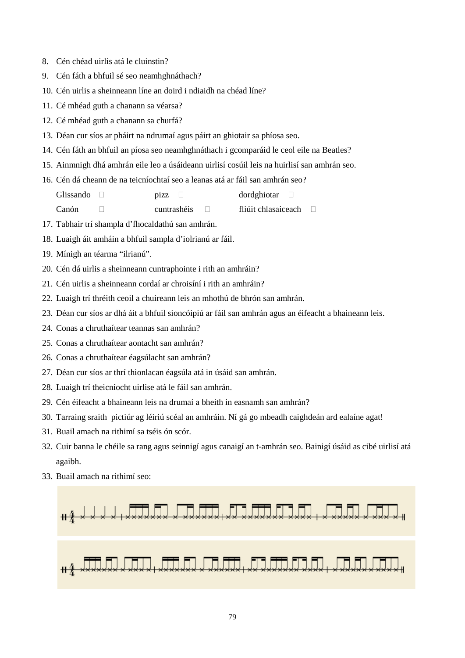- 8. Cén chéad uirlis atá le cluinstin?
- 9. Cén fáth a bhfuil sé seo neamhghnáthach?
- 10. Cén uirlis a sheinneann líne an doird i ndiaidh na chéad líne?
- 11. Cé mhéad guth a chanann sa véarsa?
- 12. Cé mhéad guth a chanann sa churfá?
- 13. Déan cur síos ar pháirt na ndrumaí agus páirt an ghiotair sa phíosa seo.
- 14. Cén fáth an bhfuil an píosa seo neamhghnáthach i gcomparáid le ceol eile na Beatles?
- 15. Ainmnigh dhá amhrán eile leo a úsáideann uirlisí cosúil leis na huirlisí san amhrán seo.
- 16. Cén dá cheann de na teicníochtaí seo a leanas atá ar fáil san amhrán seo?

Glissando  $\Box$  pizz  $\Box$  dordghiotar  $\Box$ 

Canón cuntrashéis fliúit chlasaiceach

- 17. Tabhair trí shampla d'fhocaldathú san amhrán.
- 18. Luaigh áit amháin a bhfuil sampla d'iolrianú ar fáil.
- 19. Mínigh an téarma "ilrianú".
- 20. Cén dá uirlis a sheinneann cuntraphointe i rith an amhráin?
- 21. Cén uirlis a sheinneann cordaí ar chroisíní i rith an amhráin?
- 22. Luaigh trí thréith ceoil a chuireann leis an mhothú de bhrón san amhrán.
- 23. Déan cur síos ar dhá áit a bhfuil sioncóipiú ar fáil san amhrán agus an éifeacht a bhaineann leis.
- 24. Conas a chruthaítear teannas san amhrán?
- 25. Conas a chruthaítear aontacht san amhrán?
- 26. Conas a chruthaítear éagsúlacht san amhrán?
- 27. Déan cur síos ar thrí thionlacan éagsúla atá in úsáid san amhrán.
- 28. Luaigh trí theicníocht uirlise atá le fáil san amhrán.
- 29. Cén éifeacht a bhaineann leis na drumaí a bheith in easnamh san amhrán?
- 30. Tarraing sraith pictiúr ag léiriú scéal an amhráin. Ní gá go mbeadh caighdeán ard ealaíne agat!
- 31. Buail amach na rithimí sa tséis ón scór.
- 32. Cuir banna le chéile sa rang agus seinnigí agus canaigí an t-amhrán seo. Bainigí úsáid as cibé uirlisí atá agaibh.
- 33. Buail amach na rithimí seo:

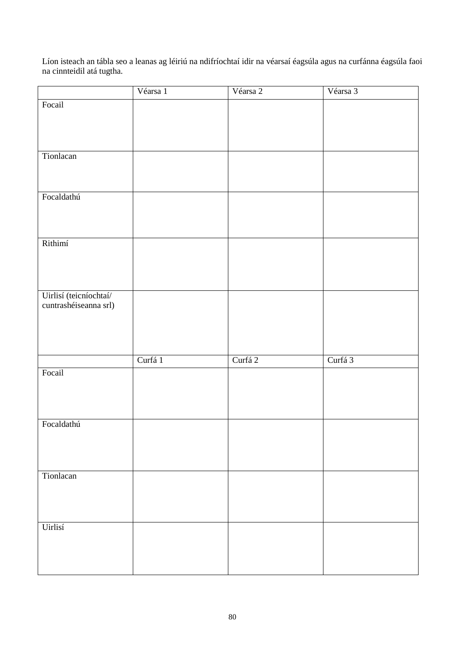Líon isteach an tábla seo a leanas ag léiriú na ndifríochtaí idir na véarsaí éagsúla agus na curfánna éagsúla faoi na cinnteidil atá tugtha.

|                                                 | Véarsa 1 | Véarsa 2 | Véarsa 3 |
|-------------------------------------------------|----------|----------|----------|
| Focail                                          |          |          |          |
|                                                 |          |          |          |
|                                                 |          |          |          |
|                                                 |          |          |          |
| Tionlacan                                       |          |          |          |
|                                                 |          |          |          |
|                                                 |          |          |          |
|                                                 |          |          |          |
| Focaldathú                                      |          |          |          |
|                                                 |          |          |          |
|                                                 |          |          |          |
| Rithimí                                         |          |          |          |
|                                                 |          |          |          |
|                                                 |          |          |          |
|                                                 |          |          |          |
|                                                 |          |          |          |
| Uirlisí (teicníochtaí/<br>cuntrashéiseanna srl) |          |          |          |
|                                                 |          |          |          |
|                                                 |          |          |          |
|                                                 |          |          |          |
|                                                 |          |          |          |
|                                                 | Curfá 1  | Curfá 2  | Curfá 3  |
| Focail                                          |          |          |          |
|                                                 |          |          |          |
|                                                 |          |          |          |
|                                                 |          |          |          |
| Focaldathú                                      |          |          |          |
|                                                 |          |          |          |
|                                                 |          |          |          |
|                                                 |          |          |          |
| Tionlacan                                       |          |          |          |
|                                                 |          |          |          |
|                                                 |          |          |          |
|                                                 |          |          |          |
| Uirlisí                                         |          |          |          |
|                                                 |          |          |          |
|                                                 |          |          |          |
|                                                 |          |          |          |
|                                                 |          |          |          |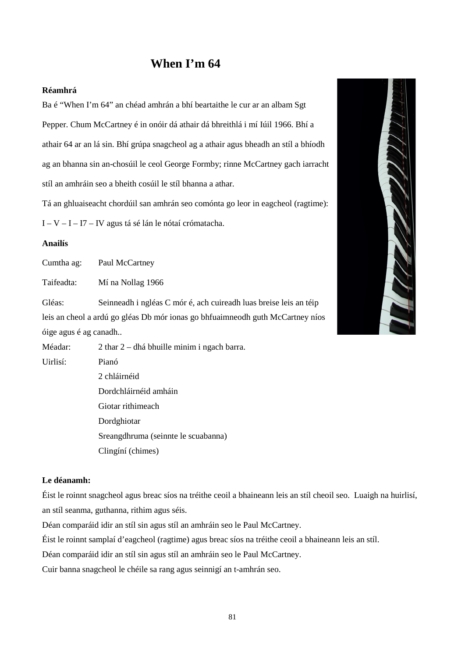# **When I'm 64**

#### **Réamhrá**

Ba é "When I'm 64" an chéad amhrán a bhí beartaithe le cur ar an albam Sgt Pepper. Chum McCartney é in onóir dá athair dá bhreithlá i mí Iúil 1966. Bhí a athair 64 ar an lá sin. Bhí grúpa snagcheol ag a athair agus bheadh an stíl a bhíodh ag an bhanna sin an-chosúil le ceol George Formby; rinne McCartney gach iarracht stíl an amhráin seo a bheith cosúil le stíl bhanna a athar.

Tá an ghluaiseacht chordúil san amhrán seo comónta go leor in eagcheol (ragtime):

I – V – I – I7 – IV agus tá sé lán le nótaí crómatacha.

#### **Anailís**

Cumtha ag: Paul McCartney

Taifeadta: Mí na Nollag 1966

Gléas: Seinneadh i ngléas C mór é, ach cuireadh luas breise leis an téip leis an cheol a ardú go gléas Db mór ionas go bhfuaimneodh guth McCartney níos óige agus é ag canadh..

Méadar: 2 thar 2 – dhá bhuille minim i ngach barra.

Uirlisí: Pianó 2 chláirnéid Dordchláirnéid amháin Giotar rithimeach Dordghiotar Sreangdhruma (seinnte le scuabanna) Clingíní (chimes)

#### **Le déanamh:**

Éist le roinnt snagcheol agus breac síos na tréithe ceoil a bhaineann leis an stíl cheoil seo. Luaigh na huirlisí, an stíl seanma, guthanna, rithim agus séis.

Déan comparáid idir an stíl sin agus stíl an amhráin seo le Paul McCartney.

Éist le roinnt samplaí d'eagcheol (ragtime) agus breac síos na tréithe ceoil a bhaineann leis an stíl.

Déan comparáid idir an stíl sin agus stíl an amhráin seo le Paul McCartney.

Cuir banna snagcheol le chéile sa rang agus seinnigí an t-amhrán seo.

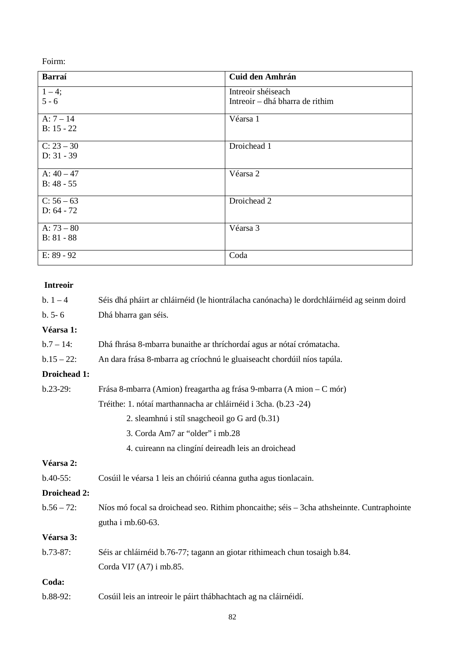Foirm:

| Barraí       | <b>Cuid den Amhrán</b>          |
|--------------|---------------------------------|
| $1 - 4;$     | Intreoir shéiseach              |
| $5 - 6$      | Intreoir – dhá bharra de rithim |
| $A: 7 - 14$  | Véarsa 1                        |
| $B: 15 - 22$ |                                 |
| $C: 23 - 30$ | Droichead 1                     |
| $D: 31 - 39$ |                                 |
| A: $40 - 47$ | Véarsa 2                        |
| $B: 48 - 55$ |                                 |
| $C: 56 - 63$ | Droichead 2                     |
| $D: 64 - 72$ |                                 |
| A: $73 - 80$ | Véarsa 3                        |
| $B: 81 - 88$ |                                 |
| E: 89 - 92   | Coda                            |

#### **Intreoir**

| $b. 1 - 4$    | Séis dhá pháirt ar chláirnéid (le hiontrálacha canónacha) le dordchláirnéid ag seinm doird |
|---------------|--------------------------------------------------------------------------------------------|
| $b. 5 - 6$    | Dhá bharra gan séis.                                                                       |
| Véarsa 1:     |                                                                                            |
| $b.7 - 14$ :  | Dhá fhrása 8-mbarra bunaithe ar thríchordaí agus ar nótaí crómatacha.                      |
| $b.15 - 22$ : | An dara frása 8-mbarra ag críochnú le gluaiseacht chordúil níos tapúla.                    |
| Droichead 1:  |                                                                                            |
| $b.23-29:$    | Frása 8-mbarra (Amion) freagartha ag frása 9-mbarra (Amion – C mór)                        |
|               | Tréithe: 1. nótaí marthannacha ar chláirnéid i 3cha. (b.23 -24)                            |
|               | 2. sleamhnú i stíl snagcheoil go G ard (b.31)                                              |
|               | 3. Corda Am7 ar "older" i mb.28                                                            |
|               | 4. cuireann na clingíní deireadh leis an droichead                                         |
| Véarsa 2:     |                                                                                            |
| $b.40-55$ :   | Cosúil le véarsa 1 leis an chóiriú céanna gutha agus tionlacain.                           |
| Droichead 2:  |                                                                                            |
| $b.56 - 72$ : | Níos mó focal sa droichead seo. Rithim phoncaithe; séis – 3cha athsheinnte. Cuntraphointe  |
|               | gutha i mb.60-63.                                                                          |
| Véarsa 3:     |                                                                                            |
| $b.73-87$ :   | Séis ar chláirnéid b.76-77; tagann an giotar rithimeach chun tosaigh b.84.                 |
|               | Corda VI7 (A7) i mb.85.                                                                    |
| Coda:         |                                                                                            |
| $b.88-92$ :   | Cosúil leis an intreoir le páirt thábhachtach ag na cláirnéidí.                            |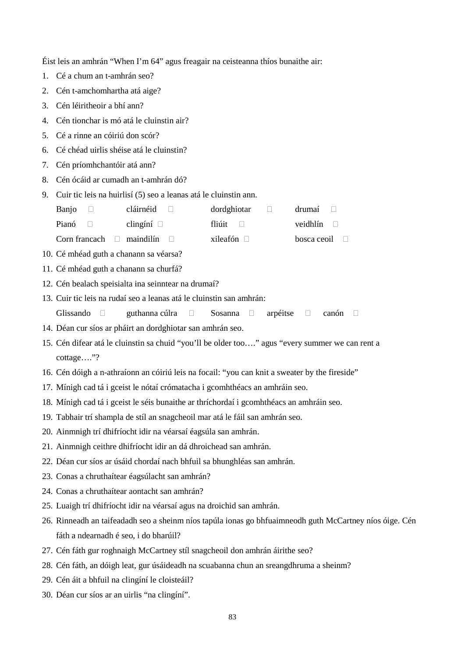Éist leis an amhrán "When I'm 64" agus freagair na ceisteanna thíos bunaithe air:

- 1. Cé a chum an t-amhrán seo?
- 2. Cén t-amchomhartha atá aige?
- 3. Cén léiritheoir a bhí ann?
- 4. Cén tionchar is mó atá le cluinstin air?
- 5. Cé a rinne an cóiriú don scór?
- 6. Cé chéad uirlis shéise atá le cluinstin?
- 7. Cén príomhchantóir atá ann?
- 8. Cén ócáid ar cumadh an t-amhrán dó?
- 9. Cuir tic leis na huirlisí (5) seo a leanas atá le cluinstin ann.

| Banjo        | cláirnéid $\Box$                      | dordghiotar<br>$\mathbf{1}$ | drumaí $\Box$      |
|--------------|---------------------------------------|-----------------------------|--------------------|
| Pianó $\Box$ | clingíní $\Box$                       | fliúit $\Box$               | veidhlín $\Box$    |
|              | Corn francach $\Box$ maindilín $\Box$ | xileafón $\Box$             | bosca ceoil $\Box$ |

- 10. Cé mhéad guth a chanann sa véarsa?
- 11. Cé mhéad guth a chanann sa churfá?
- 12. Cén bealach speisialta ina seinntear na drumaí?
- 13. Cuir tic leis na rudaí seo a leanas atá le cluinstin san amhrán:
	- Glissando  $\Box$  guthanna cúlra  $\Box$  Sosanna  $\Box$  arpéitse  $\Box$  canón  $\Box$
- 14. Déan cur síos ar pháirt an dordghiotar san amhrán seo.
- 15. Cén difear atá le cluinstin sa chuid "you'll be older too…." agus "every summer we can rent a cottage…."?
- 16. Cén dóigh a n-athraíonn an cóiriú leis na focail: "you can knit a sweater by the fireside"
- 17. Mínigh cad tá i gceist le nótaí crómatacha i gcomhthéacs an amhráin seo.
- 18. Mínigh cad tá i gceist le séis bunaithe ar thríchordaí i gcomhthéacs an amhráin seo.
- 19. Tabhair trí shampla de stíl an snagcheoil mar atá le fáil san amhrán seo.
- 20. Ainmnigh trí dhifríocht idir na véarsaí éagsúla san amhrán.
- 21. Ainmnigh ceithre dhifríocht idir an dá dhroichead san amhrán.
- 22. Déan cur síos ar úsáid chordaí nach bhfuil sa bhunghléas san amhrán.
- 23. Conas a chruthaítear éagsúlacht san amhrán?
- 24. Conas a chruthaítear aontacht san amhrán?
- 25. Luaigh trí dhifríocht idir na véarsaí agus na droichid san amhrán.
- 26. Rinneadh an taifeadadh seo a sheinm níos tapúla ionas go bhfuaimneodh guth McCartney níos óige. Cén fáth a ndearnadh é seo, i do bharúil?
- 27. Cén fáth gur roghnaigh McCartney stíl snagcheoil don amhrán áirithe seo?
- 28. Cén fáth, an dóigh leat, gur úsáideadh na scuabanna chun an sreangdhruma a sheinm?
- 29. Cén áit a bhfuil na clingíní le cloisteáil?
- 30. Déan cur síos ar an uirlis "na clingíní".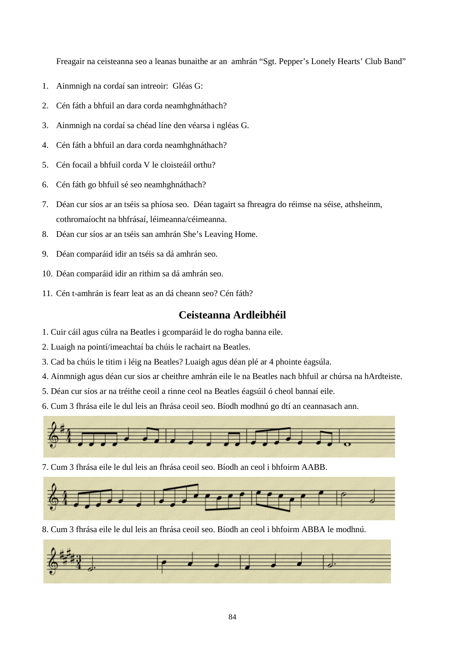Freagair na ceisteanna seo a leanas bunaithe ar an amhrán "Sgt. Pepper's Lonely Hearts' Club Band"

- 1. Ainmnigh na cordaí san intreoir: Gléas G:
- 2. Cén fáth a bhfuil an dara corda neamhghnáthach?
- 3. Ainmnigh na cordaí sa chéad líne den véarsa i ngléas G.
- 4. Cén fáth a bhfuil an dara corda neamhghnáthach?
- 5. Cén focail a bhfuil corda V le cloisteáil orthu?
- 6. Cén fáth go bhfuil sé seo neamhghnáthach?
- 7. Déan cur síos ar an tséis sa phíosa seo. Déan tagairt sa fhreagra do réimse na séise, athsheinm, cothromaíocht na bhfrásaí, léimeanna/céimeanna.
- 8. Déan cur síos ar an tséis san amhrán She's Leaving Home.
- 9. Déan comparáid idir an tséis sa dá amhrán seo.
- 10. Déan comparáid idir an rithim sa dá amhrán seo.
- 11. Cén t-amhrán is fearr leat as an dá cheann seo? Cén fáth?

### **Ceisteanna Ardleibhéil**

- 1. Cuir cáil agus cúlra na Beatles i gcomparáid le do rogha banna eile.
- 2. Luaigh na pointí/imeachtaí ba chúis le rachairt na Beatles.
- 3. Cad ba chúis le titim i léig na Beatles? Luaigh agus déan plé ar 4 phointe éagsúla.
- 4. Ainmnigh agus déan cur sios ar cheithre amhrán eile le na Beatles nach bhfuil ar chúrsa na hArdteiste.
- 5. Déan cur síos ar na tréithe ceoil a rinne ceol na Beatles éagsúil ó cheol bannaí eile.
- 6. Cum 3 fhrása eile le dul leis an fhrása ceoil seo. Bíodh modhnú go dtí an ceannasach ann.



7. Cum 3 fhrása eile le dul leis an fhrása ceoil seo. Bíodh an ceol i bhfoirm AABB.



8. Cum 3 fhrása eile le dul leis an fhrása ceoil seo. Bíodh an ceol i bhfoirm ABBA le modhnú.